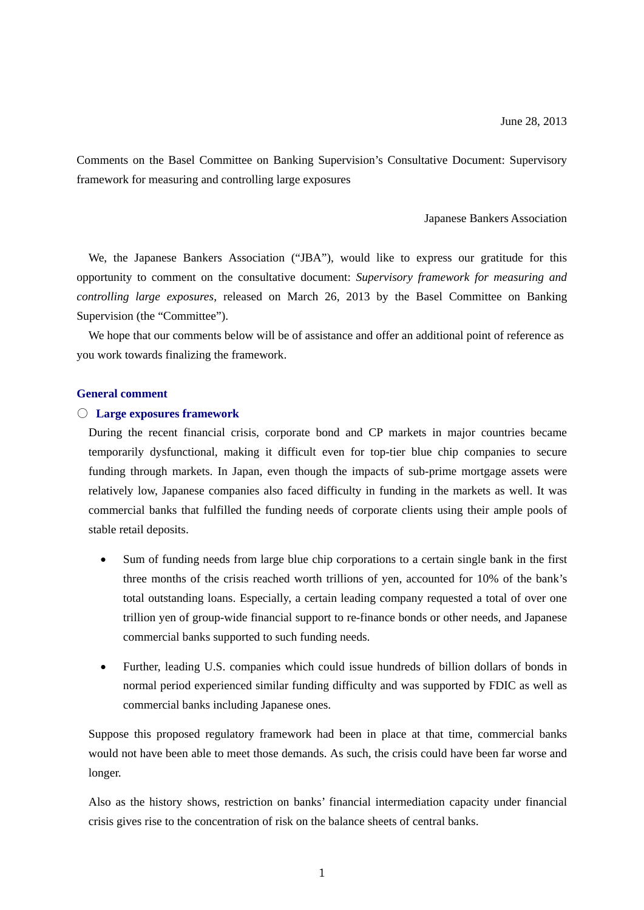Comments on the Basel Committee on Banking Supervision's Consultative Document: Supervisory framework for measuring and controlling large exposures

#### Japanese Bankers Association

We, the Japanese Bankers Association ("JBA"), would like to express our gratitude for this opportunity to comment on the consultative document: *Supervisory framework for measuring and controlling large exposures*, released on March 26, 2013 by the Basel Committee on Banking Supervision (the "Committee").

We hope that our comments below will be of assistance and offer an additional point of reference as you work towards finalizing the framework.

#### **General comment**

#### ○ **Large exposures framework**

During the recent financial crisis, corporate bond and CP markets in major countries became temporarily dysfunctional, making it difficult even for top-tier blue chip companies to secure funding through markets. In Japan, even though the impacts of sub-prime mortgage assets were relatively low, Japanese companies also faced difficulty in funding in the markets as well. It was commercial banks that fulfilled the funding needs of corporate clients using their ample pools of stable retail deposits.

- Sum of funding needs from large blue chip corporations to a certain single bank in the first three months of the crisis reached worth trillions of yen, accounted for 10% of the bank's total outstanding loans. Especially, a certain leading company requested a total of over one trillion yen of group-wide financial support to re-finance bonds or other needs, and Japanese commercial banks supported to such funding needs.
- Further, leading U.S. companies which could issue hundreds of billion dollars of bonds in normal period experienced similar funding difficulty and was supported by FDIC as well as commercial banks including Japanese ones.

Suppose this proposed regulatory framework had been in place at that time, commercial banks would not have been able to meet those demands. As such, the crisis could have been far worse and longer.

Also as the history shows, restriction on banks' financial intermediation capacity under financial crisis gives rise to the concentration of risk on the balance sheets of central banks.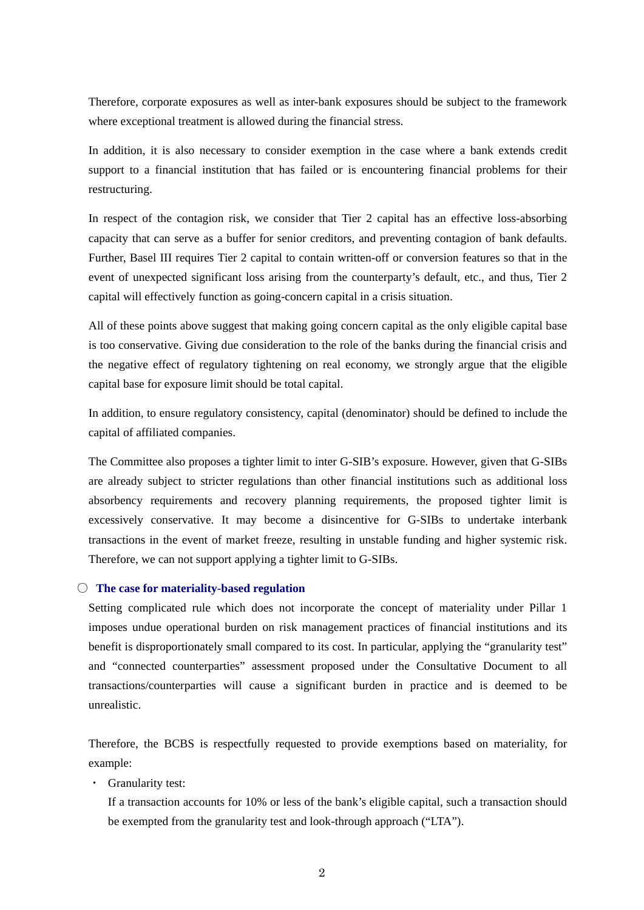Therefore, corporate exposures as well as inter-bank exposures should be subject to the framework where exceptional treatment is allowed during the financial stress.

In addition, it is also necessary to consider exemption in the case where a bank extends credit support to a financial institution that has failed or is encountering financial problems for their restructuring.

In respect of the contagion risk, we consider that Tier 2 capital has an effective loss-absorbing capacity that can serve as a buffer for senior creditors, and preventing contagion of bank defaults. Further, Basel III requires Tier 2 capital to contain written-off or conversion features so that in the event of unexpected significant loss arising from the counterparty's default, etc., and thus, Tier 2 capital will effectively function as going-concern capital in a crisis situation.

All of these points above suggest that making going concern capital as the only eligible capital base is too conservative. Giving due consideration to the role of the banks during the financial crisis and the negative effect of regulatory tightening on real economy, we strongly argue that the eligible capital base for exposure limit should be total capital.

In addition, to ensure regulatory consistency, capital (denominator) should be defined to include the capital of affiliated companies.

The Committee also proposes a tighter limit to inter G-SIB's exposure. However, given that G-SIBs are already subject to stricter regulations than other financial institutions such as additional loss absorbency requirements and recovery planning requirements, the proposed tighter limit is excessively conservative. It may become a disincentive for G-SIBs to undertake interbank transactions in the event of market freeze, resulting in unstable funding and higher systemic risk. Therefore, we can not support applying a tighter limit to G-SIBs.

#### ○ **The case for materiality-based regulation**

Setting complicated rule which does not incorporate the concept of materiality under Pillar 1 imposes undue operational burden on risk management practices of financial institutions and its benefit is disproportionately small compared to its cost. In particular, applying the "granularity test" and "connected counterparties" assessment proposed under the Consultative Document to all transactions/counterparties will cause a significant burden in practice and is deemed to be unrealistic.

Therefore, the BCBS is respectfully requested to provide exemptions based on materiality, for example:

- ・ Granularity test:
	- If a transaction accounts for 10% or less of the bank's eligible capital, such a transaction should be exempted from the granularity test and look-through approach ("LTA").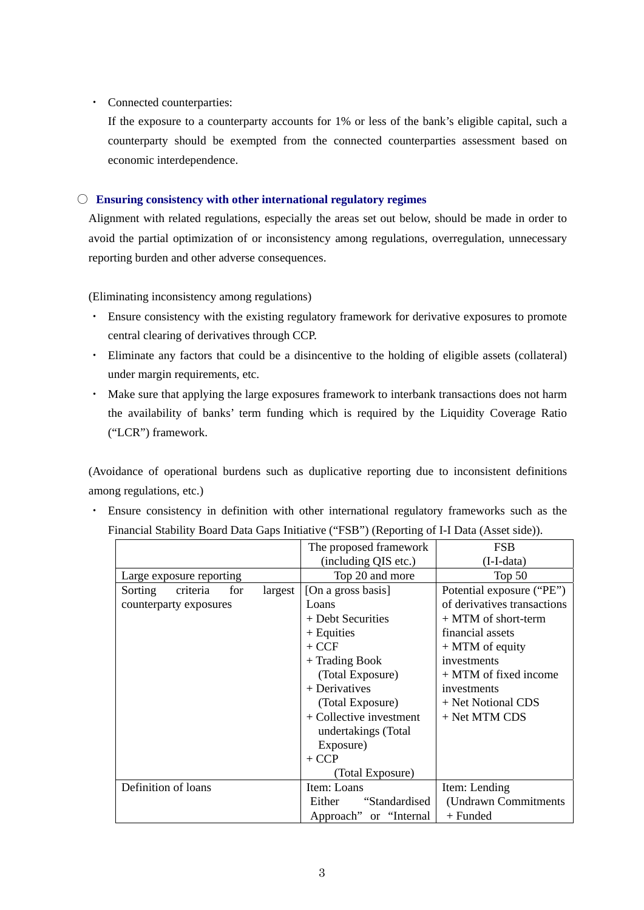#### ・ Connected counterparties:

If the exposure to a counterparty accounts for 1% or less of the bank's eligible capital, such a counterparty should be exempted from the connected counterparties assessment based on economic interdependence.

#### ○ **Ensuring consistency with other international regulatory regimes**

Alignment with related regulations, especially the areas set out below, should be made in order to avoid the partial optimization of or inconsistency among regulations, overregulation, unnecessary reporting burden and other adverse consequences.

(Eliminating inconsistency among regulations)

- ・ Ensure consistency with the existing regulatory framework for derivative exposures to promote central clearing of derivatives through CCP.
- ・ Eliminate any factors that could be a disincentive to the holding of eligible assets (collateral) under margin requirements, etc.
- ・ Make sure that applying the large exposures framework to interbank transactions does not harm the availability of banks' term funding which is required by the Liquidity Coverage Ratio ("LCR") framework.

(Avoidance of operational burdens such as duplicative reporting due to inconsistent definitions among regulations, etc.)

・ Ensure consistency in definition with other international regulatory frameworks such as the Financial Stability Board Data Gaps Initiative ("FSB") (Reporting of I-I Data (Asset side)).

|                          |          |               |             | The proposed framework  | <b>FSB</b>                  |
|--------------------------|----------|---------------|-------------|-------------------------|-----------------------------|
|                          |          |               |             | (including QIS etc.)    | $(I-I-data)$                |
| Large exposure reporting |          |               |             | Top 20 and more         | Top $50$                    |
| Sorting                  | criteria | for           | largest     | [On a gross basis]      | Potential exposure ("PE")   |
| counterparty exposures   |          |               |             | Loans                   | of derivatives transactions |
|                          |          |               |             | + Debt Securities       | + MTM of short-term         |
|                          |          |               |             | $+$ Equities            | financial assets            |
|                          |          |               |             | $+$ CCF                 | $+$ MTM of equity           |
|                          |          |               |             | + Trading Book          | investments                 |
|                          |          |               |             | (Total Exposure)        | + MTM of fixed income       |
|                          |          | + Derivatives | investments |                         |                             |
|                          |          |               |             | (Total Exposure)        | + Net Notional CDS          |
|                          |          |               |             | + Collective investment | + Net MTM CDS               |
|                          |          |               |             | undertakings (Total     |                             |
|                          |          |               |             | Exposure)               |                             |
|                          |          |               |             | $+$ CCP                 |                             |
|                          |          |               |             | (Total Exposure)        |                             |
| Definition of loans      |          |               |             | Item: Loans             | Item: Lending               |
|                          |          |               |             | "Standardised<br>Either | (Undrawn Commitments        |
|                          |          |               |             | Approach" or "Internal" | $+$ Funded                  |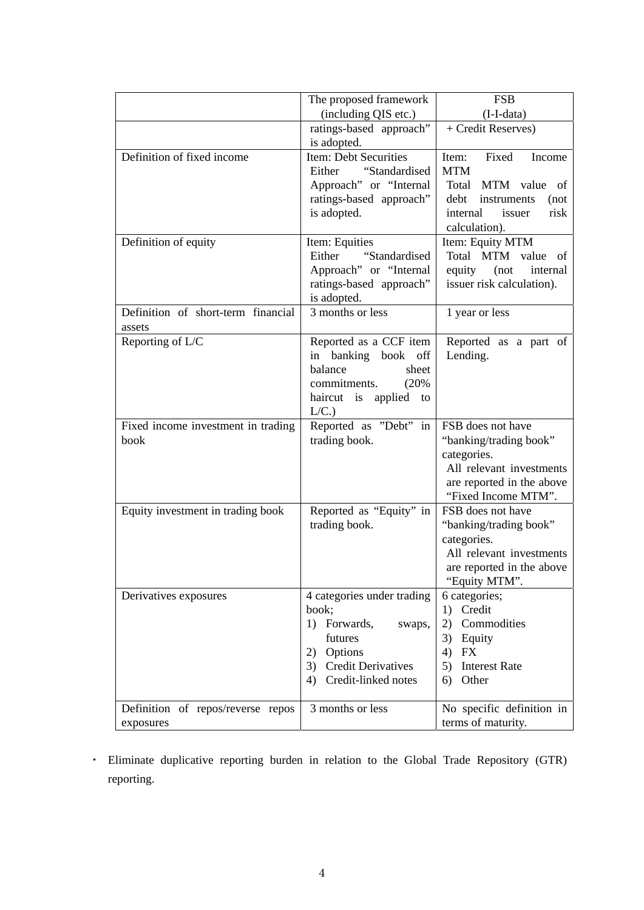|                                                | The proposed framework                                                                                                                       | <b>FSB</b>                                                                                                                                 |
|------------------------------------------------|----------------------------------------------------------------------------------------------------------------------------------------------|--------------------------------------------------------------------------------------------------------------------------------------------|
|                                                | (including QIS etc.)                                                                                                                         | (I-I-data)                                                                                                                                 |
|                                                | ratings-based approach"<br>is adopted.                                                                                                       | + Credit Reserves)                                                                                                                         |
| Definition of fixed income                     | Item: Debt Securities<br>"Standardised<br>Either<br>Approach" or "Internal<br>ratings-based approach"<br>is adopted.                         | Fixed<br>Item:<br>Income<br><b>MTM</b><br>Total MTM value of<br>debt<br>instruments<br>(not<br>risk<br>internal<br>issuer<br>calculation). |
| Definition of equity                           | Item: Equities<br>Either<br>"Standardised<br>Approach" or "Internal<br>ratings-based approach"<br>is adopted.                                | Item: Equity MTM<br>Total MTM value of<br>equity<br>(not<br>internal<br>issuer risk calculation).                                          |
| Definition of short-term financial<br>assets   | 3 months or less                                                                                                                             | 1 year or less                                                                                                                             |
| Reporting of L/C                               | Reported as a CCF item<br>in banking book off<br>balance<br>sheet<br>commitments.<br>(20%<br>haircut is applied to<br>L/C.                   | Reported as a part of<br>Lending.                                                                                                          |
| Fixed income investment in trading<br>book     | Reported as "Debt" in<br>trading book.                                                                                                       | FSB does not have<br>"banking/trading book"<br>categories.<br>All relevant investments<br>are reported in the above<br>"Fixed Income MTM". |
| Equity investment in trading book              | Reported as "Equity" in<br>trading book.                                                                                                     | FSB does not have<br>"banking/trading book"<br>categories.<br>All relevant investments<br>are reported in the above<br>"Equity MTM".       |
| Derivatives exposures                          | 4 categories under trading<br>book;<br>1) Forwards,<br>swaps,<br>futures<br>2) Options<br>3) Credit Derivatives<br>Credit-linked notes<br>4) | 6 categories;<br>1) Credit<br>2) Commodities<br>3) Equity<br>4) FX<br>5)<br><b>Interest Rate</b><br>Other<br>6)                            |
| Definition of repos/reverse repos<br>exposures | 3 months or less                                                                                                                             | No specific definition in<br>terms of maturity.                                                                                            |

・ Eliminate duplicative reporting burden in relation to the Global Trade Repository (GTR) reporting.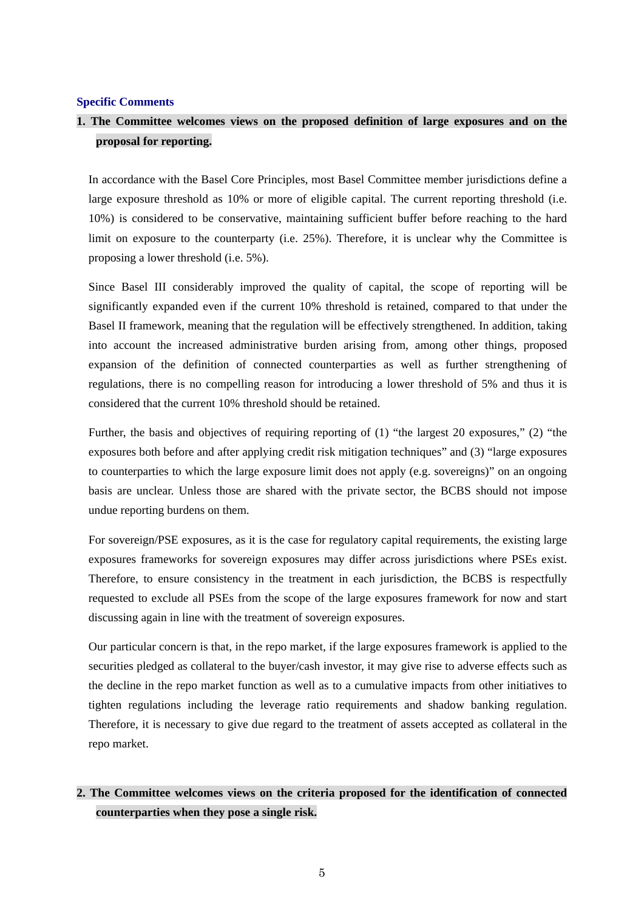#### **Specific Comments**

### **1. The Committee welcomes views on the proposed definition of large exposures and on the proposal for reporting.**

In accordance with the Basel Core Principles, most Basel Committee member jurisdictions define a large exposure threshold as 10% or more of eligible capital. The current reporting threshold (i.e. 10%) is considered to be conservative, maintaining sufficient buffer before reaching to the hard limit on exposure to the counterparty (i.e. 25%). Therefore, it is unclear why the Committee is proposing a lower threshold (i.e. 5%).

Since Basel III considerably improved the quality of capital, the scope of reporting will be significantly expanded even if the current 10% threshold is retained, compared to that under the Basel II framework, meaning that the regulation will be effectively strengthened. In addition, taking into account the increased administrative burden arising from, among other things, proposed expansion of the definition of connected counterparties as well as further strengthening of regulations, there is no compelling reason for introducing a lower threshold of 5% and thus it is considered that the current 10% threshold should be retained.

Further, the basis and objectives of requiring reporting of (1) "the largest 20 exposures," (2) "the exposures both before and after applying credit risk mitigation techniques" and (3) "large exposures to counterparties to which the large exposure limit does not apply (e.g. sovereigns)" on an ongoing basis are unclear. Unless those are shared with the private sector, the BCBS should not impose undue reporting burdens on them.

For sovereign/PSE exposures, as it is the case for regulatory capital requirements, the existing large exposures frameworks for sovereign exposures may differ across jurisdictions where PSEs exist. Therefore, to ensure consistency in the treatment in each jurisdiction, the BCBS is respectfully requested to exclude all PSEs from the scope of the large exposures framework for now and start discussing again in line with the treatment of sovereign exposures.

Our particular concern is that, in the repo market, if the large exposures framework is applied to the securities pledged as collateral to the buyer/cash investor, it may give rise to adverse effects such as the decline in the repo market function as well as to a cumulative impacts from other initiatives to tighten regulations including the leverage ratio requirements and shadow banking regulation. Therefore, it is necessary to give due regard to the treatment of assets accepted as collateral in the repo market.

# **2. The Committee welcomes views on the criteria proposed for the identification of connected counterparties when they pose a single risk.**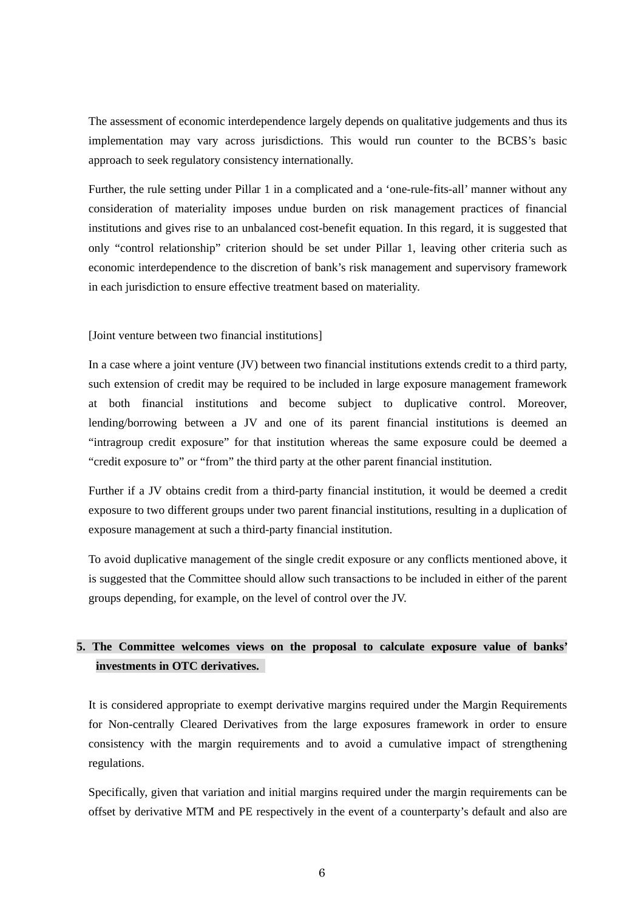The assessment of economic interdependence largely depends on qualitative judgements and thus its implementation may vary across jurisdictions. This would run counter to the BCBS's basic approach to seek regulatory consistency internationally.

Further, the rule setting under Pillar 1 in a complicated and a 'one-rule-fits-all' manner without any consideration of materiality imposes undue burden on risk management practices of financial institutions and gives rise to an unbalanced cost-benefit equation. In this regard, it is suggested that only "control relationship" criterion should be set under Pillar 1, leaving other criteria such as economic interdependence to the discretion of bank's risk management and supervisory framework in each jurisdiction to ensure effective treatment based on materiality.

[Joint venture between two financial institutions]

In a case where a joint venture (JV) between two financial institutions extends credit to a third party, such extension of credit may be required to be included in large exposure management framework at both financial institutions and become subject to duplicative control. Moreover, lending/borrowing between a JV and one of its parent financial institutions is deemed an "intragroup credit exposure" for that institution whereas the same exposure could be deemed a "credit exposure to" or "from" the third party at the other parent financial institution.

Further if a JV obtains credit from a third-party financial institution, it would be deemed a credit exposure to two different groups under two parent financial institutions, resulting in a duplication of exposure management at such a third-party financial institution.

To avoid duplicative management of the single credit exposure or any conflicts mentioned above, it is suggested that the Committee should allow such transactions to be included in either of the parent groups depending, for example, on the level of control over the JV.

## **5. The Committee welcomes views on the proposal to calculate exposure value of banks' investments in OTC derivatives.**

It is considered appropriate to exempt derivative margins required under the Margin Requirements for Non-centrally Cleared Derivatives from the large exposures framework in order to ensure consistency with the margin requirements and to avoid a cumulative impact of strengthening regulations.

Specifically, given that variation and initial margins required under the margin requirements can be offset by derivative MTM and PE respectively in the event of a counterparty's default and also are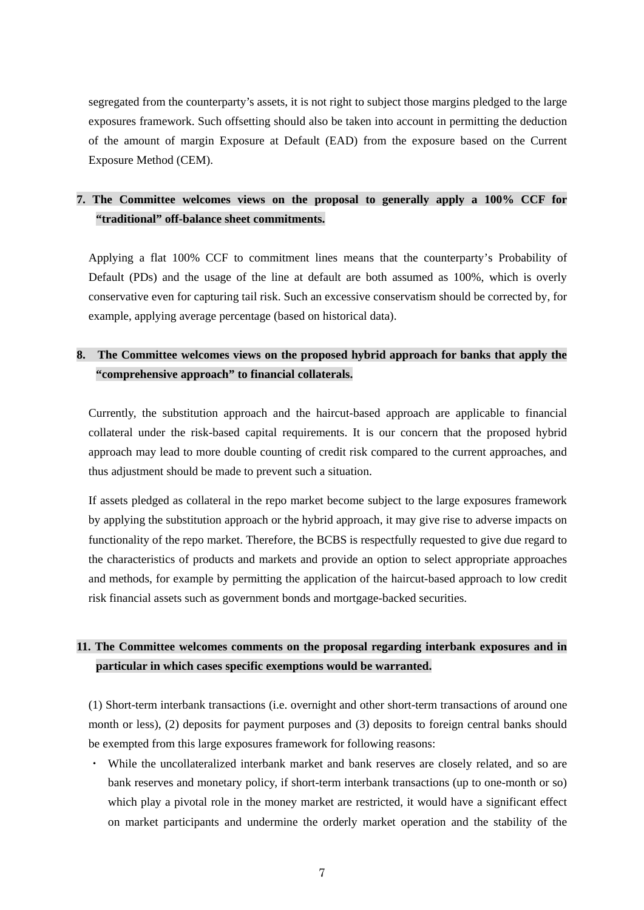segregated from the counterparty's assets, it is not right to subject those margins pledged to the large exposures framework. Such offsetting should also be taken into account in permitting the deduction of the amount of margin Exposure at Default (EAD) from the exposure based on the Current Exposure Method (CEM).

### **7. The Committee welcomes views on the proposal to generally apply a 100% CCF for "traditional" off-balance sheet commitments.**

Applying a flat 100% CCF to commitment lines means that the counterparty's Probability of Default (PDs) and the usage of the line at default are both assumed as 100%, which is overly conservative even for capturing tail risk. Such an excessive conservatism should be corrected by, for example, applying average percentage (based on historical data).

## **8. The Committee welcomes views on the proposed hybrid approach for banks that apply the "comprehensive approach" to financial collaterals.**

Currently, the substitution approach and the haircut-based approach are applicable to financial collateral under the risk-based capital requirements. It is our concern that the proposed hybrid approach may lead to more double counting of credit risk compared to the current approaches, and thus adjustment should be made to prevent such a situation.

If assets pledged as collateral in the repo market become subject to the large exposures framework by applying the substitution approach or the hybrid approach, it may give rise to adverse impacts on functionality of the repo market. Therefore, the BCBS is respectfully requested to give due regard to the characteristics of products and markets and provide an option to select appropriate approaches and methods, for example by permitting the application of the haircut-based approach to low credit risk financial assets such as government bonds and mortgage-backed securities.

## **11. The Committee welcomes comments on the proposal regarding interbank exposures and in particular in which cases specific exemptions would be warranted.**

(1) Short-term interbank transactions (i.e. overnight and other short-term transactions of around one month or less), (2) deposits for payment purposes and (3) deposits to foreign central banks should be exempted from this large exposures framework for following reasons:

・ While the uncollateralized interbank market and bank reserves are closely related, and so are bank reserves and monetary policy, if short-term interbank transactions (up to one-month or so) which play a pivotal role in the money market are restricted, it would have a significant effect on market participants and undermine the orderly market operation and the stability of the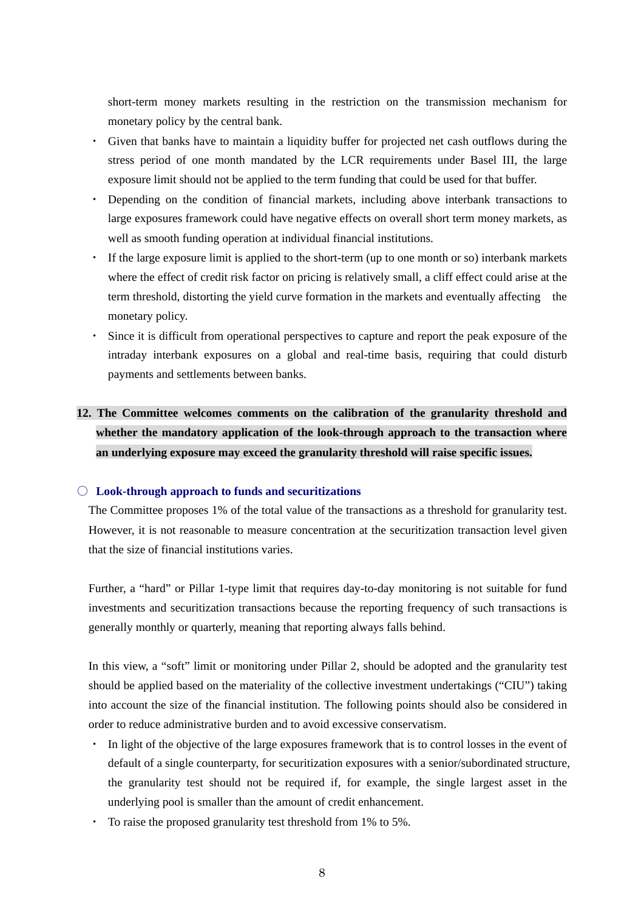short-term money markets resulting in the restriction on the transmission mechanism for monetary policy by the central bank.

- ・ Given that banks have to maintain a liquidity buffer for projected net cash outflows during the stress period of one month mandated by the LCR requirements under Basel III, the large exposure limit should not be applied to the term funding that could be used for that buffer.
- ・ Depending on the condition of financial markets, including above interbank transactions to large exposures framework could have negative effects on overall short term money markets, as well as smooth funding operation at individual financial institutions.
- ・ If the large exposure limit is applied to the short-term (up to one month or so) interbank markets where the effect of credit risk factor on pricing is relatively small, a cliff effect could arise at the term threshold, distorting the yield curve formation in the markets and eventually affecting the monetary policy.
- ・ Since it is difficult from operational perspectives to capture and report the peak exposure of the intraday interbank exposures on a global and real-time basis, requiring that could disturb payments and settlements between banks.

# **12. The Committee welcomes comments on the calibration of the granularity threshold and whether the mandatory application of the look-through approach to the transaction where an underlying exposure may exceed the granularity threshold will raise specific issues.**

#### ○ **Look-through approach to funds and securitizations**

The Committee proposes 1% of the total value of the transactions as a threshold for granularity test. However, it is not reasonable to measure concentration at the securitization transaction level given that the size of financial institutions varies.

Further, a "hard" or Pillar 1-type limit that requires day-to-day monitoring is not suitable for fund investments and securitization transactions because the reporting frequency of such transactions is generally monthly or quarterly, meaning that reporting always falls behind.

In this view, a "soft" limit or monitoring under Pillar 2, should be adopted and the granularity test should be applied based on the materiality of the collective investment undertakings ("CIU") taking into account the size of the financial institution. The following points should also be considered in order to reduce administrative burden and to avoid excessive conservatism.

- ・ In light of the objective of the large exposures framework that is to control losses in the event of default of a single counterparty, for securitization exposures with a senior/subordinated structure, the granularity test should not be required if, for example, the single largest asset in the underlying pool is smaller than the amount of credit enhancement.
- ・ To raise the proposed granularity test threshold from 1% to 5%.